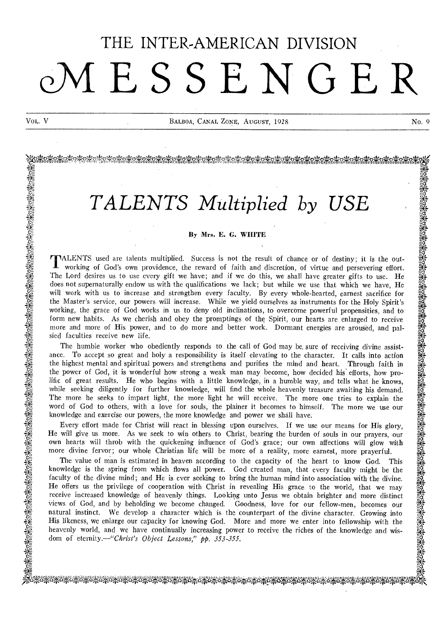# THE INTER-AMERICAN DIVISION **MESSENGER**

Vol. V 800 No. 9 BALBOA, CANAL ZONE, AUGUST, 1928 No. 9

## *\zzrkg,404w-Ase,tiotodwasevAz-kir ,tmkey,4v4tirkelvs,-caysevrykAiake,im\*owyty,tv,-,Ammoi ,*

## TALENTS Multiplied by USE

## By Mrs. E. G. WHITE

<sup>1</sup>ALENTS used are talents multiplied. Success is not the result of chance or of destiny; it is the outworking of God's own providence, the reward of faith and discretion, of virtue and persevering effort.<br>The Lord desires us to use every gift we have; and if we do this, we shall have greater gifts to use. He does not supernaturally endow us with the qualifications we lack; but while we use that which we have. He will work with us to increase and strengthen every faculty. By every whole-hearted, earnest sacrifice for the Master's service, our powers will increase. While we yield ourselves as instruments for the Holy Spirit's working, the grace of God works in us to deny old inclinations, to overcome powerful propensities, and to form new habits. As we cherish and obey the promptings of the Spirit, our hearts are enlarged to receive more and more of His power, and to do more and better work. Dormant energies are aroused, and palsied faculties receive new life.

The humble worker who obediently responds to the call of God may be, sure of receiving divine assistance. To accept so great and holy a responsibility is itself elevating to the character. It calls into action the highest mental and spiritual powers and strengthens and purifies the mind and heart. Through faith in  $\frac{1}{26}$  the power of God, it is wonderful how strong a weak man may become, how decided his efforts, how pro-<br>See life of great results. He who begins with a little knowledge in a humble way and talls what he known lific of great results. He who begins with a little knowledge, in a humble way, and tells what he knows, while seeking diligently for further knowledge, will find the whole heavenly treasure awaiting his demand. while seeking dingently for further knowledge, will find the whole heavenly deasure awarding instruction.<br>The more he seeks to impart light, the more light he will receive. The more tries to explain the  $\frac{500}{200}$ word of God to others, with a love for souls, the plainer it becomes to himself. The more we use our  $\frac{1}{26}$  knowledge and exercise our powers, the more knowledge and power we shall have.

Every effort made for Christ will react in blessing upon ourselves. If we use our means for His glory, He will give us more. As we seek to win others to Christ, bearing the burden of souls in our prayers, our own hearts will throb with the quickening influence of God's grace; our own affections will glow with more divine fervor; our whole Christian life will be more of a reality, more earnest, more prayerful.

The value of man is estimated in heaven according to the capacity of the heart to know God. This \* knowledge is the spring from which flows all power. God created man, that every faculty might be the faculty of the divine mind; and He is ever seeking to bring the human mind into association with the divine.  $\frac{1}{\sqrt{6}}$  He offers us the privilege of cooperation with Christ in revealing His grace to the world, that we may receive increased knowledge of heavenly things. Looking unto Jesus we obtain brighter and more distinct views of God, and by beholding we become changed. Goodness, love for our fellow-men, becomes our natural instinct. We develop a character which is the counterpart of the divine character. Growing into His likeness, we enlarge our capacity for knowing God. More and more we enter into fellowship with the  $\frac{1}{26}$  haven't as we emalge our capacity for knowing God. More and more we enter into fellowship with the state increasing boxing the state of the knowledge and wis-<br>a.c. \* heavenly world, and we have continually incr dom of *eternity.—"Christ's Object Lessons," pp. 353-355.* \_..4 tr- P-

ા મુદ્દિન મુદ્દા મુદ્દિન મહાના તેના મુદ્દિન મુદ્દિન મુદ્દિન સાથે આવેલા મુદ્દિન મુદ્દિન મુદ્દિન મુદ્દિન મુદ્દિન<br>પશ્ચિમની મુદ્દા મુદ્દિન મહાના સંસ્થાન મુદ્દિન મુદ્દિન મુદ્દિન મુદ્દિન મુદ્દિન મુદ્દિન મુદ્દિન મુદ્દિન મુદ્દિન

.<br>20  $\mathbb{Z}$ 

it *"4* 

*q* 

 $\mathbb{R}$ 

 $\mathcal{O}F$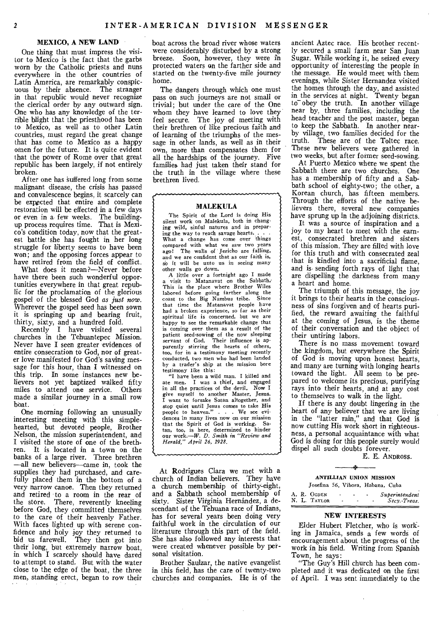#### MEXICO, A NEW LAND

One thing that must impress the visitor to Mexico is the fact that the garbs worn by the Catholic priests and nuns everywhere in the other countries of Latin America, are remarkably conspicuous by their absence. The stranger in that republic would never recognize the clerical order by any outward sign. One who has any knowledge of the terrible blight that the priesthood has been to Mexico, as well as to other Latin countries, must regard the great change that has come to Mexico as a happy omen for the future. It is quite evident that the power of Rome over that great republic has been largely, if not entirely broken.

After one has suffered long from some malignant disease, the crisis has passed and convalescence begins, it scarcely can be expected that entire and complete restoration will be effected in a few days or even in a few weeks. The buildingup process requires time. That is Mexico's condition today, now that the greatest battle she has fought in her long struggle for liberty seems to have been won; and the opposing forces appear to have retired from the field of conflict.

What does it mean?—Never before have there been such wonderful opportunities everywhere in that great republic for the proclamation of the glorious gospel of the blessed God *as just now.*  Wherever the gospel seed has been sown it is springing up and bearing fruit, thirty, sixty, and a hundred fold.

Recently I have visited several churches in the Tehuantepec Mission. Never have I seen greater evidences of entire consecration to God, nor of greater love manifested for God's saving message for this hour, than I witnessed on this trip. In some instances new believers not yet baptized walked fifty miles to attend one service. Others made a similar journey in a small row boat.

One morning following an unusually interesting meeting with this simplehearted, but devoted people, Brother Nelson, the mission superintendent, and I visited the store of one of the brethren. It is located in a town on the banks of a large river. Three brethren —all new believers—came in, took the supplies they had purchased, and carefully placed them in the bottom of a very narrow canoe. Then they returned and retired to a room in the rear of the store. There, reverently kneeling before God, they committed themselves to the care of their heavenly Father. With faces lighted up with serene confidence and holy joy they returned to bid us farewell. They then got into their long, but extremely narrow boat, in which I scarcely should have dared to attempt to stand. But with the water close to the, edge of the boat, the three men, standing erect, began to row their

boat across the broad river whose waters were considerably disturbed by a strong breeze. Soon, however, they were in protected waters on the farther side and started on the twenty-five mile journey home.

The dangers through which one must pass on such journeys are not small or trivial; but under the care of the One whom they have learned to love they feel secure. The joy of meeting with their brethren of like precious faith and of learning of the triumphs of the message in other lands, as well as in their own, more than compensates them for all the hardships of the journey. Five families had just taken their stand for the truth in the village where these brethren lived.

#### MALEKULA

 $\gamma$  ,

The Spirit of the Lord is doing His silent work on Malekula, both in changing wild, sinful natures and in prepar ing the way to reach savage hearts. . . What a change has come over things compared with what we saw two years ago! The walls of Jericho are falling, and we are confident that as our faith is, so it will be unto us in seeing many other walls go down.

A little over a fortnight ago I made a visit to Matanavat on the Sabbath.<br>This is the place where Brother Wiles labored before going farther along the coast to the Big Nambus tribe. Since that time the Matanavat people have had a broken experience, so far as their spiritual life is concerned, but we are happy to see the remarkable change that is coming over them as a result of the patient seed-sowing of the now sleeping servant of God. Their influence is ap-parently stirring the hearts of others, too, for in a testimony meeting recently conducted, two men who had been landed by a trader's ship at the mission bore testimony like this:

"I have been a wild man. I killed and ate men. I was a thief, and engaged in all the practices of the devil. Now I give myself to another Master, Jesus. I want to forsake Satan altogether, and stop quiet until Jesus comes to take His people to heaven." . . . We see evi-dences in many lives now on our mission that the Spirit of God is working. Satan, too, is here, determined to hinder our work.—W. *D. Smith in "Review and Herald," April 26, 1928.* 

At Rodrigues Clara we met with a church of Indian believers. They have a church membership of thirty-eight, and a Sabbath school membership of sixty. Sister Virginia Hernández, a descendant of the Tehuana race of Indians, has for several years been doing very faithful work in the circulation of our literature through this part of the field. She has also followed any interests that were created whenever possible by personal visitation.

Brother Saulzar, the native evangelist in this field, has the care of twenty-two churches and companies. He is of the

ancient Aztec race. His brother recently secured a small farm near San Juan Sugar. While working it, he seized every opportunity of interesting the people in the message. He would meet with them evenings, while Sister Hernandez visited the homes through the day, and assisted in the services at night. Twenty began to obey the truth. In another village near by, three families, including the head teacher and the post master, began to keep the Sabbath. In another nearby village, two families decided for the truth. These are of the Toltec race. These new believers were gathered in two weeks, but after former seed-sowing.

At Puerto Mexico where we spent the Sabbath there are two churches. One has a membership of fifty and a Sabbath school of eighty-two; the other, a Korean church, has fifteen members. Through the efforts of the native believers there, several new companies have sprung up in the adjoining districts.

It was a source of inspiration and a joy to my heart to meet with the earnest, consecrated brethren and sisters of this mission. They are filled with love for this truth and with consecrated zeal that is kindled into a sacrificial flame, and is- sending forth rays of light that are dispelling the darkness from many a heart and home.

The triumph of this message, the joy it brings to their hearts in the consciousness of sins forgiven and of hearts purified, the reward awaiting the faithful at the coming of Jesus, is the theme of their conversation and the object of their untiring labors.

There is no mass movement toward the kingdom, but everywhere the Spirit of God is moving upon honest hearts, and many are turning with longing hearts toward the light. All seem to be prepared to welcome its precious, purifying rays into their hearts, and at any cost to themselves to walk in the light.

If there is any doubt lingering in the heart of any believer that we are living in the "latter rain," and that God is now cutting His work short in righteousness, a personal acquaintance with what God is doing for this people surely would dispel all such doubts forever.

E. E. ANDROSS.

## ANTILLIAN UNION MISSION

#### Josefina 56, Vibora, Habana, Cuba

|  | A. R. Ogden  |  | <i>Superintendent</i> |
|--|--------------|--|-----------------------|
|  | N. L. TAYLOR |  | Secy Treas.           |

#### NEW INTERESTS

Elder Hubert Fletcher, who is working in Jamaica, sends a few words of encouragement about the progress of the work in his field. Writing from Spanish Town, he says:

"The Guy's Hill church has been completed and it was dedicated on the first of April. I was sent immediately to the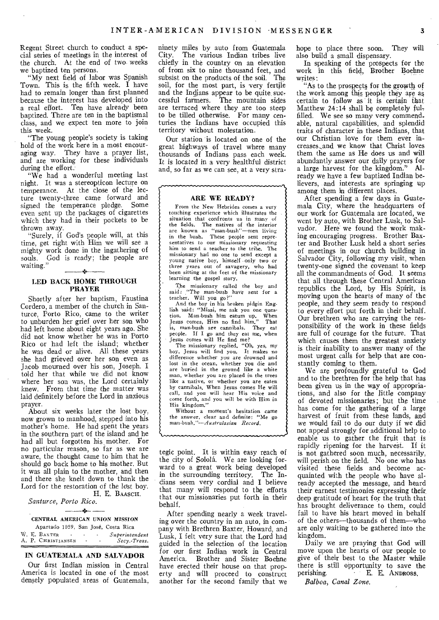Regent Street church to conduct a special series of meetings in the interest of the church. At the end of two weeks we baptized ten persons.

"My next field of labor was Spanish Town. This is the fifth week. I have had to remain longer than first planned because the interest has developed into a real effort. Ten have already been baptized. There are ten in the baptismal class, and we expect ten more to join this week.

"The young people's society is taking hold of the work here in a most encour-<br>aging way. They have a prayer list, They have a prayer list, and are working for these individuals during the effort.

"We had a wonderful meeting last night. It was a stereopticon lecture on temperance. At the close of the lecture twenty-three came forward and signed the temperance pledge. Some even sent up the packages of cigarettes which they had in their pockets to be thrown away.

"Surely, if God's people will, at this time, get right with Him we will see a mighty work done in the ingathering of souls. God is ready; the people are waiting."

#### LED BACK HOME THROUGH PRAYER

Shortly after her baptism, Faustina Cordero, a member of the church in Santurce, Porto Rico, came to the writer to unburden her grief over her son who had left home about eight years ago. She did not know whether he was in Porto Rico or had left the island; whether he was dead or alive. All these years she had grieved oyer her son even as Jacob mourned over his son, Joseph. I told her that while we did not know where her son was, the Lord certainly knew. From that time the matter was laid definitely before the Lord in anxious prayer.

About six weeks later the lost boy. now grown to manhood, stepped into his mother's home. He had spent the years in the southern part of the island and he had all but forgotten his, mother. For no particular reason, so far as we are aware, the thought came to him that he should go back home to his mother. But it was all plain to the mother, and then and there she knelt down to thank the Lord for the restoration of the lost boy.

### *Santurce, Porto Rico.*

## $-2 -$

H. E. BAASCH.

#### CENTRAL CENTRAL AMERICAN UNION MISSION Apartado 1059, San Jose, Costa Rica

|  | Tipartago 1000, San Jose, Costa Kita |   |                          |                |
|--|--------------------------------------|---|--------------------------|----------------|
|  | W. E. BAXTER                         | ۰ |                          | Superintendent |
|  | A. P. CHRISTIANSEN                   |   | $\overline{\phantom{a}}$ | Secy. Treas.   |
|  |                                      |   |                          |                |

#### IN GUATEMALA AND SALVADOR

Our first Indian mission in Central America is located in one of the most densely populated areas of Guatemala, ninety miles by auto from Guatemala<br>City. The various Indian tribes live The various Indian tribes live chiefly in the country on an elevation of from six to nine thousand feet, and subsist on the products of the soil. The soil, for the most part, is very fertile and the Indians appear to be quite successful farmers. The mountain sides are terraced where they are too steep to be tilled otherwise. For many centuries the Indians have occupied this territory without molestation.

Our station is located on one of the great highways of travel where many thousands of Indians pass each week. It is located in a very healthful district and, so far as we can see, at a very stra-

#### ARE WE READY?

r i

From the New Hebrides comes a very touching experience which illustrates the situation that confronts us in many of the fields. The natives of the interior are known as "man-bush"—men living in the bush, These people sent repre-<br>in the bush, These people sent repre-<br>sentatives to our missionary requesting him to send a teacher to the tribe. The missionary had no one to send except a young native boy, himself -only two or three years out of savagery, who had been sitting at the feet of the missionary learning the gospel story.

The missionary called the boy and said: "The man-bush have sent for a teacher. Will you go?"

And the boy in his broken pidgin Eng-lish said: "Missi, me ask you one question. Man-bush him eatum up, When Jesus comes, Him no find him." That is, man-bush are cannibals. They eat people. If I go and they eat me, when Jesus comes will He find me?

The missionary replied, "Oh, yes, my boy, Jesus will find you, It makes no difference whether you are drowned and lost in the ocean, whether you die and are buried in the ground like a white man, whether you are placed in the trees like a native, or whether you are eaten by cannibals, When Jesus comes He will call, and you will hear His voice and come forth, and you will be with Him in His kingdom,"

Without a moment's hesitation came the answer, clear and definite; "Me go *man-bush,"—Australasian* Record.

tegic point, It is within easy reach of the city of Solola. We are looking forward to a great work being developed<br>in the surrounding territory. The Inin the surrounding territory. dians seem very cordial and I believe that many will respond to the efforts that our missionaries put forth in their behalf.

After spending nearly a week traveling over the country in an auto, in company with Brethren Baxter, Howard, and Lusk, I felt very sure that the Lord had guided in the selection of the location for our first Indian work in Central America. Brother and Sister Boehne have erected their house on that property and will proceed to construct another for the second family that we

hope to place there soon. They will also build a small dispensary.

In speaking of the prospects for the work in this field, Brother Boehne writes:

"As to the prospects for the growth of the work among this people they are as certain to follow as it is certain that Matthew 24:14 shall be completely ful, filled. We see so many very commendable, natural capabilities, and splendid traits of character in these Indians, that our Christian love for them ever increases,and we know that Christ loves them the same as He does us and will abundantly answer our daily prayers for a large harvest for the kingdom." Already we have a few baptized Indian believers, and interests are springing up among them in different places.

After spending a few days in Guatemala City, where the headquarters of our work for Guatemala are located, we went by auto, with Brother Lusk, to Salvador. Here we found the work making encouraging progress. Brother Baxter and Brother Lusk held a short series of meetings in our church building in Salvador City, following my visit, when twenty-one signed the covenant to keep all the commandments of God, It seems that all through these Central American republics the Lord, by His Spirit, is moving upon the hearts of many of the people, and they seem ready to respond to every effort put forth in their behalf. Our brethren who are carrying the responsibility of the work in these fields are full of courage for the future. That which causes them the greatest anxiety is their inability to answer many of the most urgent calls for help that are constantly coming to them.

We are profoundly grateful to God and to the brethren for the help that has been given us in the way of appropriations, and also for the little company of devoted missionaries; but the time has come for the gathering of a large harvest of fruit from these lands, and we would fail to do our duty if we did not appeal strongly for additional help to enable us to gather the fruit that is rapidly ripening for the harvest. If it is not gathered soon much, necessarily, will perish on the field. No one who has visited these fields and become acquainted with the people who have already accepted the message, and heard their earnest testimonies expressing their, deep gratitude of heart for the truth that has brought deliverance to them, could fail to have his heart moved in behalf of the others—thousands of them—who are only waiting to be gathered into the kingdom.

Daily we are praying that God will move upon the hearts of our people to give of their best to the Master while there is still opportunity to save the perishing. - E. E. ANDROSS,

*Balboa, Canal Zone.*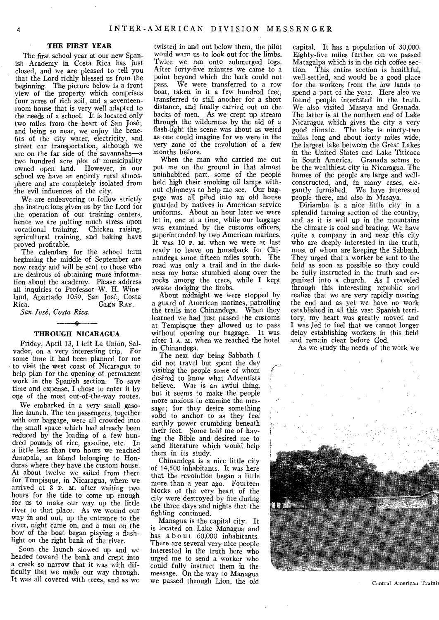#### **THE FIRST YEAR**

The first school year at our new Spanish Academy in Costa Rica has just closed, and we are pleased to tell you that the Lord richly blessed us from the beginning. The picture below is a front view of the property which comprises four acres of rich soil, and a seventeenroom house that is very well adapted to the needs of a school. It is located only two miles from the heart of San José; and being so near, we enjoy the benefits of the city water, electricity, and street car transportation, although we are on the far side of the savannahs—a two hundred acre plot of municipality owned open land. However, in our school we have an entirely rural atmosphere and are completely isolated from the evil influences of the city.

We are endeavoring to follow strictly the instructions given us by the Lord for the operation of our training centers, hence we are putting much stress upon<br>vocational training. Chicken raising, vocational training. agricultural training, and baking have proved profitable.

The calendars for the school term beginning the middle of September are now ready and will be sent to those who are desirous of obtaining more information about the academy. Please address all inquiries to Professor W. H. Wineland, Apartado 1059, San José, Costa<br>Rica GLEN RAY.

*San Jose, Costa Rica.* 

## **THROUGH NICARAGUA**

Friday, April 13, I left La Union, Salvador, on a very interesting trip. For some time it had been planned for me • to visit the west coast of Nicaragua to help plan for the opening of permanent work in the Spanish section. To save time and expense, I chose to enter it by one of the most out-of-the-way routes.

We embarked in a very small gasoline launch. The ten passengers, together with our baggage, were all crowded into the small space which had already been reduced by the loading of a few hundred pounds of rice, gasoline, etc. In a little less than two hours we reached Amapala, an island belonging to Honduras where they have the custom house. At about twelve we sailed from there for Tempisque, in Nicaragua, where we arrived at 8 P. M. after waiting two hours for the tide to come up enough for us to make our way up the little river to that place. As we wound our way in and out, up the entrance to the river, night came on, and a man on the bow of the boat began playing a flashlight on the right bank of the river.

Soon the launch slowed up and we headed toward the bank and crept into a creek so narrow that it was with difficulty that we made our way through. It was all covered with trees, and as we

twisted in and out below them, the pilot would warn us to look out for the limbs. Twice we ran onto submerged logs. After forty-five minutes we came to a point beyond which the bark could not pass. We were transferred to a row boat, taken in it a few hundred feet, transferred to still another for a short distance, and finally carried out on the backs of men. As we crept up stream through the wilderness by the aid of a flash-light the scene was about as weird as one could imagine for we were in the very zone of the revolution of a few months before.

When the man who carried me out put me on the ground in that almost uninhabited part, some of the people held high their smoking oil lamps without chimneys to help me see. Our baggage was all piled into an old house guarded by natives in American service uniforms. About an hour later we were let in, one at a time, while our baggage was examined by the customs officers, superintended by two American marines. It was 10 P. M. when we were at last ready to leave on horseback for Chinandega some fifteen miles south. The road was only a trail and in the darkness my horse stumbled along over the rocks among the trees, while I kept awake dodging the limbs.

About midnight we were stopped by a guard of American marines, patrolling the trails into Chinandega. When they learned we had just passed the customs at Tempisque they allowed us to pass without opening our baggage. It was after 1 A. M. when we reached the hotel in Chinandega.

The next day being Sabbath I did not travel but spent the day visiting the people some of whom desired to know what Adventists believe. War is an awful thing, but it seems to make the people more anxious to examine the message; for they desire something solid to anchor to as they feel earthly power crumbling beneath their feet. Some told me of having the Bible and desired me to send literature which would help them in its study.

Chinandega is a nice little city of 14,500 inhabitants. It was here that the revolution began a little more than a year ago. Fourteen blocks of the very heart of the city were destroyed by fire during the three days and nights that the fighting continued.

Managua is the capital city. It is located on Lake Managua and has about 60,000 inhabitants. There are several very nice people interested in the truth here who urged me to send a worker who could fully instruct them in the message. On the way to Managua we passed through Lion, the old

capital. It has a population of 30,000. Eighty-five miles farther on we passed Matagalpa which is in the rich coffee section. This entire section is healthful, well-settled, and would be a good place for the workers from the low lands to spend a part of the year. Here also we found people interested in the truth. We also visited Masaya and Granada. The latter is at the northern end of Lake Nicaragua which gives the city a very good climate. The lake is ninety-two miles long and about forty miles wide, the largest lake between the Great Lakes in the United States and Lake Titicaca in South America. Granada seems to be the wealthiest city in Nicaragua. The homes of the people are large and wellconstructed, and, in many cases, elegantly furnished. We have interested people there, and also in Masaya.

Diriamba is a nice little city in a splendid farming section of the country, and as it is well up in the mountains the climate is cool and bracing. We have quite a company in and near this city who are deeply interested in the truth, most of whom are keeping the Sabbath. They urged that a worker be sent to the field as soon as possible so they could be fully instructed in the truth and organized into a church. As I traveled through this interesting republic and realize that we are very rapidly nearing the end and as yet we have no work established in all this vast Spanish territory, my heart was greatly moved and I was led to feel that we cannot longer delay establishing workers in this field and remain clear before God.

As we study the needs of the work we



Central American Trainir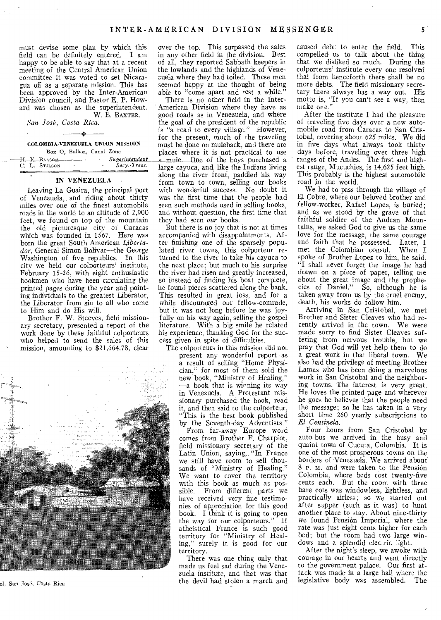must devise some plan by which this field can be definitely entered. I am happy to be able to say that at a recent meeting of the Central American Union committee it was voted to set Nicaragua off as a separate mission. This has been approved by the Inter-American Division council, and Pastor E. P. Howard was chosen as the superintendent. W. E. BAXTER.

*San Jose, Costa Rica.* 

#### COLOMBIA-VENEZUELA UNION MISSION

|               | Box O. Balboa, Canal Zone     |                      |                             |
|---------------|-------------------------------|----------------------|-----------------------------|
|               |                               |                      | H. E. BAASCH Superintendent |
| C. L. STILSON | ٠<br>$\overline{\phantom{0}}$ | $\Delta \phi = 0.01$ | Secy.-Treas.                |
|               |                               |                      |                             |

#### IN VENEZUELA

Leaving La Guaira, the principal port of Venezuela, and riding about thirty miles over one of the finest automobile roads in the world to an altitude of 2,900 feet, we found on top of the mountain the old picturesque city of Caracas which was founded in 1567. Here was born the great South American *Libertador,* General Simon Bolivar—the George Washington of five republics. In this city we held our colporteurs' institute, February 15-26, with eight enthusiastic bookmen who have been circulating the printed pages during the year and pointing individuals to the greatest Liberator, the Liberator from sin to all who come to Him and do His will.

Brother F. W. Steeves, field missionary secretary, presented a report of the work done by these faithful colporteurs who helped to send the sales of this mission, amounting to \$21,664.78, clear



ol, San Jose, Costa Rica

over the top. This surpassed the sales in any other field in the division. Best of all, they reported Sabbath keepers in the lowlands and the highlands of Venezuela where they had toiled. These men seemed happy at the thought of being able to "come apart and rest a while."

There is no other field in the Inter-American Division where they have as good roads as in Venezuela, and where the goal of the president of the republic is "a road to every village." However, for the present, much of the traveling must he done on muleback, and there are places where it is not practical to use a mule. One of the boys purchased a large cayuca, and, like the Indians living along the river front, paddled his way from town to town, selling our books with wonderful success. No doubt it was the first time that the people had seen such methods used in selling books, and without question, the first time that they had seen *our* books.

But there is no joy that is not at times accompanied with disappointments. After finishing one of the sparsely populated river towns, this colporteur returned to the river to take his cayuca to the next place; but much to his surprise the river had risen and greatly increased, so instead of finding his boat complete, he found pieces scattered along the bank. This resulted in great loss, and for a while discouraged our fellow-comrade, but it was not long before he was joyfully on his way again, selling the gospel literature. With a big smile he related his experience, thanking God for the success given in spite of difficulties.

The colporteurs in this mission did not present any wonderful report as a result of selling "Home Physician,' for most of them sold the new book, "Ministry of Healing," —a book that is winning its way in Venezuela. A Protestant missionary purchased the book, read it, and then said to the colporteur, "This is the best book published by the Seventh-day Adventists.'

From far-away Europe word comes from Brother F. Charpiot, field missionary secretary of the Latin Union, saying, "In France we still have room to sell thousands of "Ministry of Healing." We want to cover the territory with this book as much as possible. From different parts we have received very fine testimonies of appreciation for this good book. I think it is going to open the way for our colporteurs. atheistical France is such good territory for "Ministry of Healing," surely it is good for our territory.

There was one thing only that made us feel sad during the Venezuela institute, and that was that the devil had stolen a march and caused debt to enter the field. This compelled us to talk about the thing that we disliked so much. During the colporteurs' institute every one resolved that from henceforth there shall be no more debts. The field missionary secretary there always has a way out. His motto is, "If you can't see a way, then make one."

After the institute I had the pleasure of traveling five days over a new automobile road from Caracas to San Cristobal, covering about 625 miles. We did in five days what always took thirty days before, traveling over three high ranges of the Andes. The first and highest range, Mucuchies, is 14,625 feet high. This probably is the highest automobile road in the world.

We had to pass through the village of El Cobre, where our beloved brother and fellow-worker, Rafael Lopez, is buried; and as we stood by the grave of that faithful soldier of the Andean Mountains, we asked God to give us the same love for the message, the same courage and faith that he possessed. Later, I met the Colombian consul. spoke of Brother Lopez to him, he said, "I shall never forget the image he had drawn on a piece of paper, telling me about the great image and the prophecies of Daniel." So, although he is taken away from us by the cruel enemy, death, his works do follow him.

Arriving in San Cristobal, we met Brother and Sister Cleaves who had recently arrived in the town. We were made sorry to find Sister Cleaves suffering from nervous trouble, but we pray that God will yet help them to do a great work in that liberal town. We also had the privilege of meeting Brother Lamas who has been doing a marvelous work in San Cristobal and the neighboring towns. The interest is very great. He loves the printed page and wherever he goes he believes that the people need the message; so he has taken in a very short time 260 yearly subscriptions to *Centinela.* 

Four hours from San Cristobal by auto-bus we arrived in the busy and quaint town of Cucuta, Colombia. It is one of the most prosperous towns on the borders of Venezuela. We arrived about 8 P. M. and were taken to the Pension Colombia, where beds cost twenty-five cents each. But the room with three bare cots was windowless, lightless, and practically airless; so we started out after supper (such as it was) to hunt another place to stay. About nine-thirty we found Pensión Imperial, where the rate was just eight cents higher for each bed; but the room had two large windows and a splendid electric light.

After the night's sleep, we awoke with courage in our hearts and went directly to the government palace. Our first attack was made in a large hall where the legislative body was assembled. The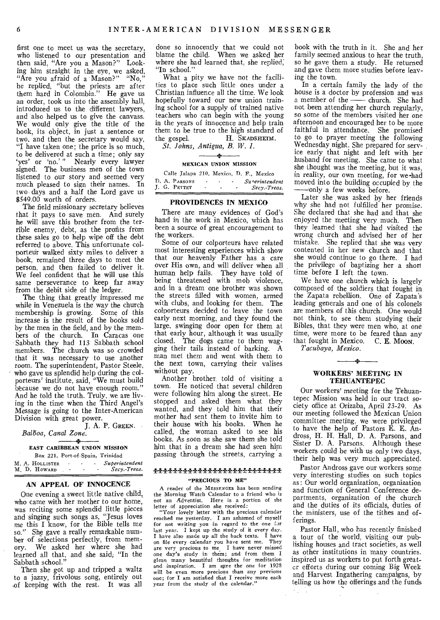first one to meet us was the secretary, who listened to our presentation and then said, "Are you a Mason?" Looking him straight in the eye, we asked, "Are you afraid of a Mason?" "No," he replied, "but the priests are after them hard in Colombia." He gave us an order, took us into the assembly hall, introduced us to the different lawyers, and also helped us to give the canvass. We would only give the title of the book, its object, in just a sentence or two, and then the secretary would say, "I have taken one; the price is so much, to be delivered at such a time; only say `yes' or 'no.' " Nearly every lawyer signed. The business men of the town listened to our story and seemed very much pleased to sign their names, In two days and a half the Lord gave us \$549.00 worth of orders.

The field missionary secretary believes that it pays to save men. And surely he will save this brother from the terrible enemy, debt, as the profits from these sales go to help wipe off the debt referred to above. This unfortunate colporteur walked sixty miles to deliver a book, remained three days to meet the person, and then failed to deliver it. We feel confident that he will use this same perseverance to keep far away from the debit side of the ledger.

The thing that greatly impressed me while in Venezuela is the way the church membership is growing. Some of this increase is the result of the books sold by the men in the field, and by the members of the church. In Caracas one Sabbath they had 113 Sabbath school members. The church was so crowded that it was necessary to use another room. The superintendent, Pastor Steele, who gave us splendid help during the colporteurs' institute, said, "We must build because we do not have enough room." And he told the truth. Truly, we are living in the time when the Third Angel's Message is going to the Inter-American Division with great power.

J. A. P. GREEN. *Balboa, Canal Zone.* 

#### - 74 EAST CARIBBEAN UNION MISSION

Box 221, Port-of-Spain, Trinidad<br>M. A. HOLLISTER - - - - Superin M. A. HOLLISTER - - - *Superintendent*  M. D. Howard

#### AN APPEAL OF INNOCENCE

One evening a sweet little native child, who came with her mother to our home, was reciting some splendid little pieces and singing such songs as, "Jesus loves me this I know, for the Bible tells me so." She gave a really remarkable number of selections perfectly, from memory. We asked her where she had learned all that, and she said; "In the Sabbath school."

Then she got up and tripped a waltz to a jazzy, frivolous song, entirely out of keeping with the rest. It was all done so innocently that we could not blame the child. When we asked her where she had learned that, she replied; "In school."

What a pity we have not the facilities to place such little ones under a Christian influence all the time. We look hopefully toward our new union training school for a supply of trained native teachers who can begin with the young in the years of innocence and help train them to be true to the high standard of<br>the gospel. H. SKADSHEIM. H. SKADSHEIM.

*St. Johns, Antigua, B. W. I.* 

#### $\rightarrow$ MEXICAN UNION MISSION

Calle Jalapa 210, Mexico, D. F., Mexico D. A. PARSONS - - - *Superintendent* **J. G. PETTEY** - - - - *Secv.-Treas. J. G. PETTEY* 

#### PROVIDENCES IN MEXICO

There are many evidences of God's hand in the work in Mexico, which has been a source of great encouragement to the workers.

Some of our colporteurs have related most interesting experiences which show that our heavenly Father has a care over His own, and will deliver when all human help fails. They have told of being threatened with mob violence, and in a dream one brother was shown the streets filled with women, armed with clubs, and looking for them. The colporteurs decided to leave the town early next morning, and they found the large, swinging door open for them at that early hour, although it was usually closed. The dogs came to them wagging their tails instead of barking. A man met them and went with them to the next town, carrying their valises without pay.

Another brother told of visiting a town. He noticed that several children were following him along the street. He stopped and asked them what they wanted, and they told him that their mother had sent them to invite him to their house with his books. When he called, the woman asked to see his books. As soon as she saw them she told him that in a dream she had seen him passing through the streets, carrying a

#### ₽₽₽₽₽₽₽₽₽₽₽₽₽₽₽₽₽₽₽₽₽₽₽₽₽₽₽₽ "PRECIOUS TO ME"

A reader of the MESSENGER has been sending the Morning Watch Calendar to a friend who is not an Adventist. Here is a portion of the

letter of appreciation she received: "Your lovely letter with the precious calendar reached *me* yesterday. I am ashamed of myself for not writing you in regard to the one :or last year. I kept up the study of it every day. I have also made up all the back texts. I have<br>on file every calendar you have sent me. They on file every calendar you have sent me. are very precious to me I have never missed one day's study in them; and from them I glean many beautiful thoughts for meditation and inspiration. I am sure the one for 1928 will be even more precious than any previous one; for I am satisfied that I receive more each year from the study of the calendar."

book with the truth in it. She and her family seemed anxious to hear the truth, so he gave them a study. He returned and gave them more studies before leaving the town.

In a certain family the lady of the house is a doctor by profession and was a member of the church. She had not been attending her church regularly, so some of the members visited her one afternoon and encouraged her to be more faithful in attendance. She promised to go to prayer meeting the following Wednesday night. She prepared for service early that night and left with her husband for meeting. She came to what she thought was the meeting, but it was, in reality, our own meeting, for we-had moved into the building occupied by the only a few weeks before.

Later she was asked by her friends why she had not fulfilled her promise. She declared that she had and that she enjoyed the meeting very much. Then they learned that she had visited the wrong church and advised her of her mistake. She replied that she was very contented in her new church and that she would continue to go there. I had the privilege of baptizing her a short time before I left the town.

We have one church which is largely composed of the soldiers that fought in the Zapata rebellion. One of Zapata's leading generals and one of his colonels are members of this church. One would not think, to see them studying their Bibles, that they were men who, at one time, were more to be feared than any that fought in Mexico. C. E. MooN.

*Tacubaya, Mexico.* 

#### WORKERS' MEETING IN TEHUANTEPEC

 $\overline{\phantom{a}}$ 

Our workers' meeting for the Tehuantepec Mission was held in our tract society office at Orizaba, April 23-29. As our meeting followed the Mexican Union committee meeting, we were privileged to have the help of Pastors E. E. Andross, H. H. Hall, D. A. Parsons, and Sister D. A. Parsons. Although these workers could be with us only two days, their help was very much appreciated.

Pastor Andross gave our workers some very interesting studies on such topics as: Our world organization, organization and function of General Conference departments, organization of the church and the duties of its officials, duties of the ministers, use of the tithes and offerings.

Pastor Hall, who has recently finished a tour of the world, visiting our publishing houses and tract societies, as well as other institutions in many countries. inspired us as workers to put forth greater efforts during our coming Big Week and Harvest Ingathering campaigns, by telling us how the offerings and the funds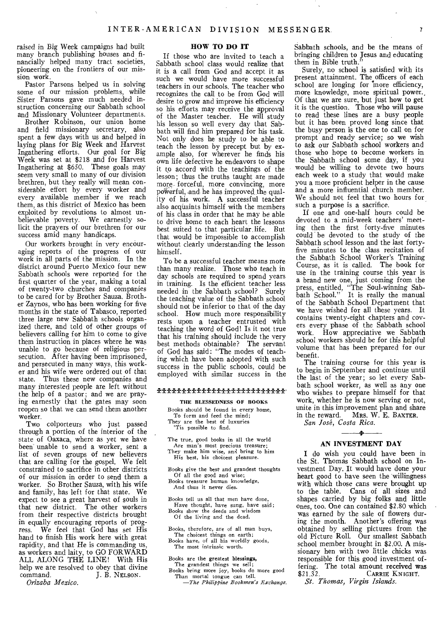raised in Big Week campaigns had built many branch publishing houses and financially helped many tract societies, pioneering on the frontiers of our mission work.

Pastor Parsons helped us in solving some of our mission problems, while Sister Parsons gave much needed instruction concerning our Sabbath school and Missionary Volunteer departments.

Brother Robinson, our union home and field missionary secretary, also spent a few days with us and helped in laying plans for Big Week and Harvest Ingathering efforts. Our goal for Big Week was set at \$218 and for Harvest Ingathering at \$650. These goals may seem very small to many of our division brethren, but they really will mean considerable effort by every worker and every available member if we reach them, as this district of Mexico has been exploited by revolutions to almost unbelievable poverty. We earnestly solicit the prayers of our brethren for our success amid many handicaps.

Our workers brought in very encouraging reports of the progress of our work in all parts of the mission. In the district around Puerto Mexico four new Sabbath schools were reported for the first quarter of the year, making a total of twenty-two churches and companies to be cared for by Brother Sauza. Brother Zaynos, who has been working for five months in the state of Tabasco, reported three large new Sabbath schools organized there, and told of other groups of believers calling for him to come to give them instruction in places where he was unable to go because of religious persecution. After having been imprisoned, and persecuted in many ways, this worker and his wife were ordered out of that state. Thus these new companies and many interested people are left without the help of a pastor; and we are praying earnestly that the gates may soon reopen so that we can send them another worker.

Two colporteurs who just passed through a portion of the interior of the state of Oaxaca, where as yet we have been unable to send a worker, sent a list of seven groups of new believers that are calling for the gospel. We felt constrained to sacrifice in other districts of our mission in order to send them a worker. So Brother Sauza, with his wife and family, has left for that state. We expect to see a great harvest of souls in that new district. The other workers from their respective districts brought in equally encouraging reports of progress. We feel that God has set His We feel that God has set His hand to finish His work here with great rapidity, and that He is commanding us, as workers and laity, to GO FORWARD ALL ALONG THE LINE! With His help we are resolved to obey that divine<br>command. [ B. NELSON.] J. B. NELSON.

*Orizaba Mexico.* 

#### HOW TO DO IT

If those who are invited to teach a Sabbath school class would realize that it is a call from God and accept it as such we would have more successful teachers in our schools. The teacher who recognizes the call to be from God will desire to grow and improve his efficiency so his efforts may receive the approval of the Master teacher. He will study his lesson so well every day that Sabbath will find him prepared for his task. Not only does he study to be able to teach the lesson by precept but by example also, for wherever he finds his own life defective he endeavors to shape it to accord with the teachings of the lesson; thus the truths taught are made more- forceful, more convincing, more powerful, and he has improved the quality of his work. A successful teacher also acquaints himself with the members of his class in order that he may be able to drive home to each heart the lessons best suited to that particular. life. But that would be impossible to accomplish without clearly understanding the lesson himself.

To be a successful teacher means more than many realize. Those who teach in day schools are required to spend years in training. Is the efficient teacher less needed in the Sabbath school? Surely the teaching value of the Sabbath school should not be inferior to that of the day school. How much more responsibility rests upon a teacher entrusted with teaching the word of God! Is it not true that his training should include the very best methods obtainable? The servant of God has said: "The modes of teaching which have been adopted with such success in the public schools, could be employed with similar success in the

#### 

#### THE BLESSEDNESS OF BOOKS

Books should be found in every home, To form and feed the mind; They are the best of luxuries 'Tis possible to find.

The true, good books in all the world Are man's most precious treasure; They make him wise, and bring to him His best, his choicest pleasure.

Books give the best and grandest thoughts Of all the good and wise; Books treasure human knowledge, And thus it never dies.

Books tell us all that men have done, Have thought, have sung, have said; Books show the deeds and wisdom Of the living and the dead.

Books, therefore, are of all man buys, The choicest things on earth; Books have, of all his worldly goods, The most intrinsic worth.

Books are the greatest blessings, The grandest things we sell; Books bring more joy, books do more good Than mortal tongue can tell.

*—The Philippine Baokmen's Exchange.* 

Sabbath schools, and be the means of bringing children to Jesus and educating them in Bible truth."

Surely, no school is satisfied with its present attainment. The officers of each school are longing for more efficiency, more knowledge, more spiritual power., Of that we are sure, but just how to get it is the question. Those who will pause to read these lines are a busy people but it has been proved long since that the busy person is the one to call on for prompt and ready service; so we wish to ask our Sabbath school workers and those who hope to become workers in the Sabbath school some day, if you would be willing to devote two hours each week to a study that would make you a more proficient helper in the cause and a more influential church member. We should not feel that two hours for such a purpose is a sacrifice.

If one and one-half hours could be devoted to a mid-week teachers' meeting then the first forty-five minutes could be devoted to the study of the Sabbath school lesson and the last fortyfive minutes to the class recitation of the Sabbath School Worker's Training Course, as it is called. The book for use in the training course this year is a brand new one, just coming from the press, entitled, "The Soul-winning Sabbath School." It is really the manual of the Sabbath School Department that *we* have wished for all these years. It contains twenty-eight chapters and covers every phase of the Sabbath school work. How appreciative we Sabbath school workers should be for this helpful volume that has been prepared for our benefit.

The training course for this year is to begin in September and continue until the last of the year; so let every Sabbath school worker, as well as any one who wishes to prepare himself for that work, whether he is now serving or not, unite in this improvement plan and share in the reward. MRS. W. E. BAxTER.

*San Jose, Costa Rica.* 

## $\rightarrow$ AN INVESTMENT DAY

I do wish you could have been in the St. Thomas Sabbath school on Investment Day. It would have done your heart good to have seen the willingness with which those cans were brought up to the table. Cans of all sizes and shapes carried by big folks and little ones, too. One can contained \$2.80 which was earned by the sale of flowers during the month. Another's offering was obtained by selling pictures from the old Picture Roll. Our smallest Sabbath school member brought in \$2.00. A missionary hen with two little chicks was responsible for this good investment of-<br>fering. The total amount received was fering. The total amount received was<br>\$21.32. CARRIE KNIGHT. CARRIE KNIGHT.

*St. Thomas, Virgin Islands.*